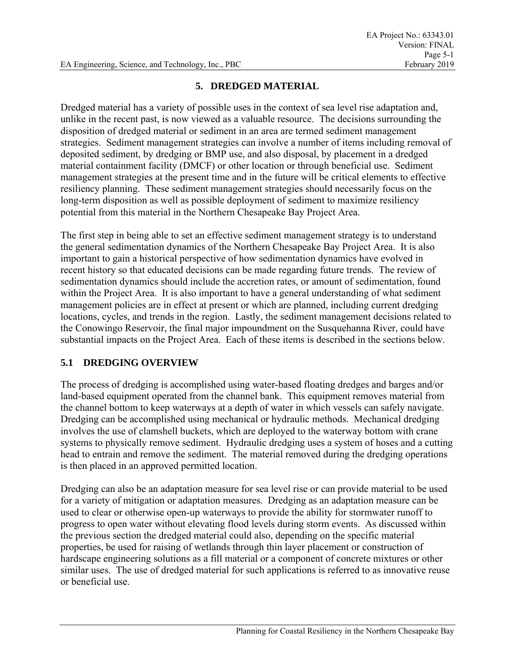#### **5. DREDGED MATERIAL**

Dredged material has a variety of possible uses in the context of sea level rise adaptation and, unlike in the recent past, is now viewed as a valuable resource. The decisions surrounding the disposition of dredged material or sediment in an area are termed sediment management strategies. Sediment management strategies can involve a number of items including removal of deposited sediment, by dredging or BMP use, and also disposal, by placement in a dredged material containment facility (DMCF) or other location or through beneficial use. Sediment management strategies at the present time and in the future will be critical elements to effective resiliency planning. These sediment management strategies should necessarily focus on the long-term disposition as well as possible deployment of sediment to maximize resiliency potential from this material in the Northern Chesapeake Bay Project Area.

The first step in being able to set an effective sediment management strategy is to understand the general sedimentation dynamics of the Northern Chesapeake Bay Project Area. It is also important to gain a historical perspective of how sedimentation dynamics have evolved in recent history so that educated decisions can be made regarding future trends. The review of sedimentation dynamics should include the accretion rates, or amount of sedimentation, found within the Project Area. It is also important to have a general understanding of what sediment management policies are in effect at present or which are planned, including current dredging locations, cycles, and trends in the region. Lastly, the sediment management decisions related to the Conowingo Reservoir, the final major impoundment on the Susquehanna River, could have substantial impacts on the Project Area. Each of these items is described in the sections below.

## **5.1 DREDGING OVERVIEW**

The process of dredging is accomplished using water-based floating dredges and barges and/or land-based equipment operated from the channel bank. This equipment removes material from the channel bottom to keep waterways at a depth of water in which vessels can safely navigate. Dredging can be accomplished using mechanical or hydraulic methods. Mechanical dredging involves the use of clamshell buckets, which are deployed to the waterway bottom with crane systems to physically remove sediment. Hydraulic dredging uses a system of hoses and a cutting head to entrain and remove the sediment. The material removed during the dredging operations is then placed in an approved permitted location.

Dredging can also be an adaptation measure for sea level rise or can provide material to be used for a variety of mitigation or adaptation measures. Dredging as an adaptation measure can be used to clear or otherwise open-up waterways to provide the ability for stormwater runoff to progress to open water without elevating flood levels during storm events. As discussed within the previous section the dredged material could also, depending on the specific material properties, be used for raising of wetlands through thin layer placement or construction of hardscape engineering solutions as a fill material or a component of concrete mixtures or other similar uses. The use of dredged material for such applications is referred to as innovative reuse or beneficial use.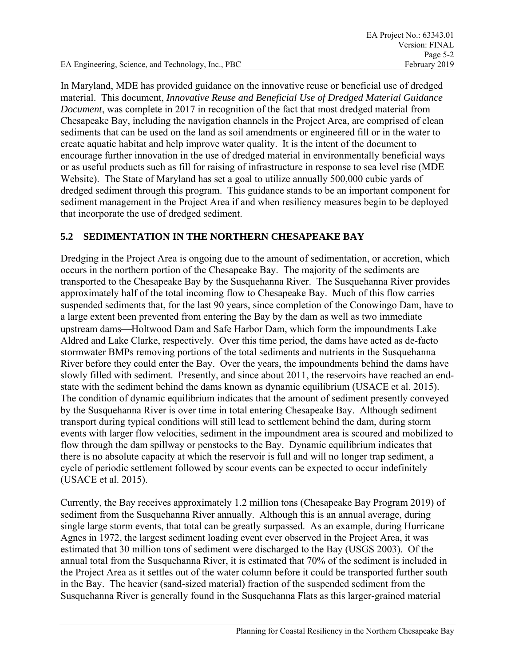EA Engineering, Science, and Technology, Inc., PBC February 2019

In Maryland, MDE has provided guidance on the innovative reuse or beneficial use of dredged material. This document, *Innovative Reuse and Beneficial Use of Dredged Material Guidance Document*, was complete in 2017 in recognition of the fact that most dredged material from Chesapeake Bay, including the navigation channels in the Project Area, are comprised of clean sediments that can be used on the land as soil amendments or engineered fill or in the water to create aquatic habitat and help improve water quality. It is the intent of the document to encourage further innovation in the use of dredged material in environmentally beneficial ways or as useful products such as fill for raising of infrastructure in response to sea level rise (MDE Website). The State of Maryland has set a goal to utilize annually 500,000 cubic yards of dredged sediment through this program. This guidance stands to be an important component for sediment management in the Project Area if and when resiliency measures begin to be deployed that incorporate the use of dredged sediment.

## **5.2 SEDIMENTATION IN THE NORTHERN CHESAPEAKE BAY**

Dredging in the Project Area is ongoing due to the amount of sedimentation, or accretion, which occurs in the northern portion of the Chesapeake Bay. The majority of the sediments are transported to the Chesapeake Bay by the Susquehanna River. The Susquehanna River provides approximately half of the total incoming flow to Chesapeake Bay. Much of this flow carries suspended sediments that, for the last 90 years, since completion of the Conowingo Dam, have to a large extent been prevented from entering the Bay by the dam as well as two immediate upstream dams—Holtwood Dam and Safe Harbor Dam, which form the impoundments Lake Aldred and Lake Clarke, respectively. Over this time period, the dams have acted as de-facto stormwater BMPs removing portions of the total sediments and nutrients in the Susquehanna River before they could enter the Bay. Over the years, the impoundments behind the dams have slowly filled with sediment. Presently, and since about 2011, the reservoirs have reached an endstate with the sediment behind the dams known as dynamic equilibrium (USACE et al. 2015). The condition of dynamic equilibrium indicates that the amount of sediment presently conveyed by the Susquehanna River is over time in total entering Chesapeake Bay. Although sediment transport during typical conditions will still lead to settlement behind the dam, during storm events with larger flow velocities, sediment in the impoundment area is scoured and mobilized to flow through the dam spillway or penstocks to the Bay. Dynamic equilibrium indicates that there is no absolute capacity at which the reservoir is full and will no longer trap sediment, a cycle of periodic settlement followed by scour events can be expected to occur indefinitely (USACE et al. 2015).

Currently, the Bay receives approximately 1.2 million tons (Chesapeake Bay Program 2019) of sediment from the Susquehanna River annually. Although this is an annual average, during single large storm events, that total can be greatly surpassed. As an example, during Hurricane Agnes in 1972, the largest sediment loading event ever observed in the Project Area, it was estimated that 30 million tons of sediment were discharged to the Bay (USGS 2003). Of the annual total from the Susquehanna River, it is estimated that 70% of the sediment is included in the Project Area as it settles out of the water column before it could be transported further south in the Bay. The heavier (sand-sized material) fraction of the suspended sediment from the Susquehanna River is generally found in the Susquehanna Flats as this larger-grained material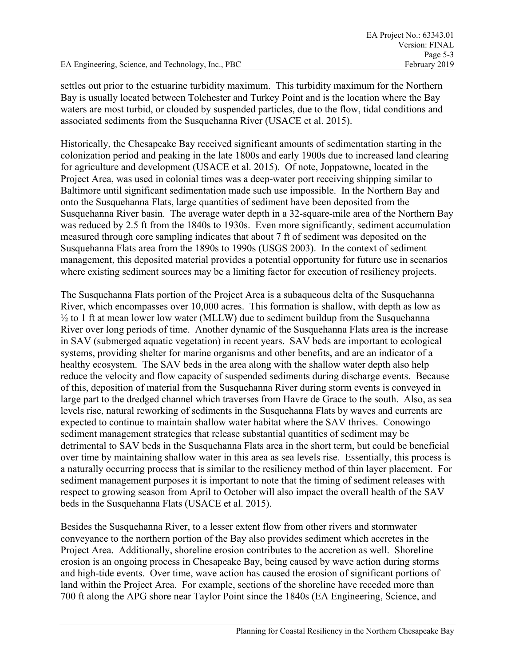settles out prior to the estuarine turbidity maximum. This turbidity maximum for the Northern Bay is usually located between Tolchester and Turkey Point and is the location where the Bay waters are most turbid, or clouded by suspended particles, due to the flow, tidal conditions and associated sediments from the Susquehanna River (USACE et al. 2015).

Historically, the Chesapeake Bay received significant amounts of sedimentation starting in the colonization period and peaking in the late 1800s and early 1900s due to increased land clearing for agriculture and development (USACE et al. 2015). Of note, Joppatowne, located in the Project Area, was used in colonial times was a deep-water port receiving shipping similar to Baltimore until significant sedimentation made such use impossible. In the Northern Bay and onto the Susquehanna Flats, large quantities of sediment have been deposited from the Susquehanna River basin. The average water depth in a 32-square-mile area of the Northern Bay was reduced by 2.5 ft from the 1840s to 1930s. Even more significantly, sediment accumulation measured through core sampling indicates that about 7 ft of sediment was deposited on the Susquehanna Flats area from the 1890s to 1990s (USGS 2003). In the context of sediment management, this deposited material provides a potential opportunity for future use in scenarios where existing sediment sources may be a limiting factor for execution of resiliency projects.

The Susquehanna Flats portion of the Project Area is a subaqueous delta of the Susquehanna River, which encompasses over 10,000 acres. This formation is shallow, with depth as low as  $\frac{1}{2}$  to 1 ft at mean lower low water (MLLW) due to sediment buildup from the Susquehanna River over long periods of time. Another dynamic of the Susquehanna Flats area is the increase in SAV (submerged aquatic vegetation) in recent years. SAV beds are important to ecological systems, providing shelter for marine organisms and other benefits, and are an indicator of a healthy ecosystem. The SAV beds in the area along with the shallow water depth also help reduce the velocity and flow capacity of suspended sediments during discharge events. Because of this, deposition of material from the Susquehanna River during storm events is conveyed in large part to the dredged channel which traverses from Havre de Grace to the south. Also, as sea levels rise, natural reworking of sediments in the Susquehanna Flats by waves and currents are expected to continue to maintain shallow water habitat where the SAV thrives. Conowingo sediment management strategies that release substantial quantities of sediment may be detrimental to SAV beds in the Susquehanna Flats area in the short term, but could be beneficial over time by maintaining shallow water in this area as sea levels rise. Essentially, this process is a naturally occurring process that is similar to the resiliency method of thin layer placement. For sediment management purposes it is important to note that the timing of sediment releases with respect to growing season from April to October will also impact the overall health of the SAV beds in the Susquehanna Flats (USACE et al. 2015).

Besides the Susquehanna River, to a lesser extent flow from other rivers and stormwater conveyance to the northern portion of the Bay also provides sediment which accretes in the Project Area. Additionally, shoreline erosion contributes to the accretion as well. Shoreline erosion is an ongoing process in Chesapeake Bay, being caused by wave action during storms and high-tide events. Over time, wave action has caused the erosion of significant portions of land within the Project Area. For example, sections of the shoreline have receded more than 700 ft along the APG shore near Taylor Point since the 1840s (EA Engineering, Science, and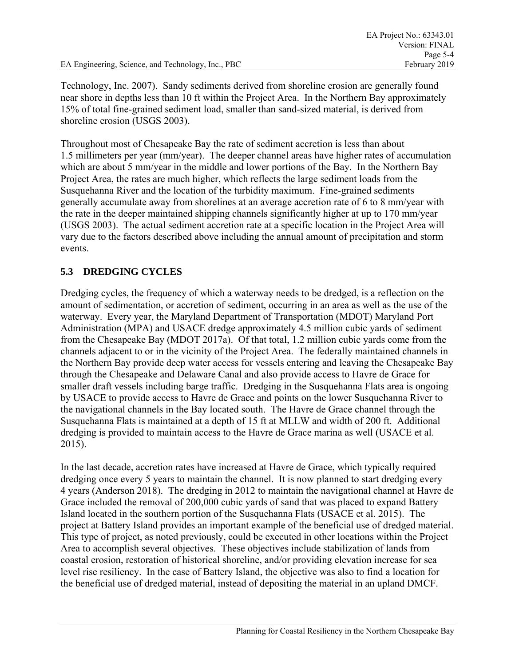Technology, Inc. 2007). Sandy sediments derived from shoreline erosion are generally found near shore in depths less than 10 ft within the Project Area. In the Northern Bay approximately 15% of total fine-grained sediment load, smaller than sand-sized material, is derived from shoreline erosion (USGS 2003).

Throughout most of Chesapeake Bay the rate of sediment accretion is less than about 1.5 millimeters per year (mm/year). The deeper channel areas have higher rates of accumulation which are about 5 mm/year in the middle and lower portions of the Bay. In the Northern Bay Project Area, the rates are much higher, which reflects the large sediment loads from the Susquehanna River and the location of the turbidity maximum. Fine-grained sediments generally accumulate away from shorelines at an average accretion rate of 6 to 8 mm/year with the rate in the deeper maintained shipping channels significantly higher at up to 170 mm/year (USGS 2003). The actual sediment accretion rate at a specific location in the Project Area will vary due to the factors described above including the annual amount of precipitation and storm events.

# **5.3 DREDGING CYCLES**

Dredging cycles, the frequency of which a waterway needs to be dredged, is a reflection on the amount of sedimentation, or accretion of sediment, occurring in an area as well as the use of the waterway. Every year, the Maryland Department of Transportation (MDOT) Maryland Port Administration (MPA) and USACE dredge approximately 4.5 million cubic yards of sediment from the Chesapeake Bay (MDOT 2017a). Of that total, 1.2 million cubic yards come from the channels adjacent to or in the vicinity of the Project Area. The federally maintained channels in the Northern Bay provide deep water access for vessels entering and leaving the Chesapeake Bay through the Chesapeake and Delaware Canal and also provide access to Havre de Grace for smaller draft vessels including barge traffic. Dredging in the Susquehanna Flats area is ongoing by USACE to provide access to Havre de Grace and points on the lower Susquehanna River to the navigational channels in the Bay located south. The Havre de Grace channel through the Susquehanna Flats is maintained at a depth of 15 ft at MLLW and width of 200 ft. Additional dredging is provided to maintain access to the Havre de Grace marina as well (USACE et al. 2015).

In the last decade, accretion rates have increased at Havre de Grace, which typically required dredging once every 5 years to maintain the channel. It is now planned to start dredging every 4 years (Anderson 2018). The dredging in 2012 to maintain the navigational channel at Havre de Grace included the removal of 200,000 cubic yards of sand that was placed to expand Battery Island located in the southern portion of the Susquehanna Flats (USACE et al. 2015). The project at Battery Island provides an important example of the beneficial use of dredged material. This type of project, as noted previously, could be executed in other locations within the Project Area to accomplish several objectives. These objectives include stabilization of lands from coastal erosion, restoration of historical shoreline, and/or providing elevation increase for sea level rise resiliency. In the case of Battery Island, the objective was also to find a location for the beneficial use of dredged material, instead of depositing the material in an upland DMCF.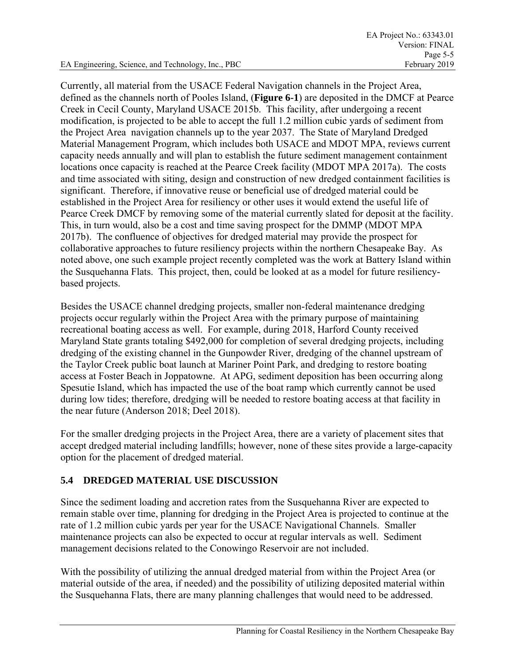Currently, all material from the USACE Federal Navigation channels in the Project Area, defined as the channels north of Pooles Island, (**Figure 6-1**) are deposited in the DMCF at Pearce Creek in Cecil County, Maryland USACE 2015b. This facility, after undergoing a recent modification, is projected to be able to accept the full 1.2 million cubic yards of sediment from the Project Area navigation channels up to the year 2037. The State of Maryland Dredged Material Management Program, which includes both USACE and MDOT MPA, reviews current capacity needs annually and will plan to establish the future sediment management containment locations once capacity is reached at the Pearce Creek facility (MDOT MPA 2017a). The costs and time associated with siting, design and construction of new dredged containment facilities is significant. Therefore, if innovative reuse or beneficial use of dredged material could be established in the Project Area for resiliency or other uses it would extend the useful life of Pearce Creek DMCF by removing some of the material currently slated for deposit at the facility. This, in turn would, also be a cost and time saving prospect for the DMMP (MDOT MPA 2017b). The confluence of objectives for dredged material may provide the prospect for collaborative approaches to future resiliency projects within the northern Chesapeake Bay. As noted above, one such example project recently completed was the work at Battery Island within the Susquehanna Flats. This project, then, could be looked at as a model for future resiliencybased projects.

Besides the USACE channel dredging projects, smaller non-federal maintenance dredging projects occur regularly within the Project Area with the primary purpose of maintaining recreational boating access as well. For example, during 2018, Harford County received Maryland State grants totaling \$492,000 for completion of several dredging projects, including dredging of the existing channel in the Gunpowder River, dredging of the channel upstream of the Taylor Creek public boat launch at Mariner Point Park, and dredging to restore boating access at Foster Beach in Joppatowne. At APG, sediment deposition has been occurring along Spesutie Island, which has impacted the use of the boat ramp which currently cannot be used during low tides; therefore, dredging will be needed to restore boating access at that facility in the near future (Anderson 2018; Deel 2018).

For the smaller dredging projects in the Project Area, there are a variety of placement sites that accept dredged material including landfills; however, none of these sites provide a large-capacity option for the placement of dredged material.

# **5.4 DREDGED MATERIAL USE DISCUSSION**

Since the sediment loading and accretion rates from the Susquehanna River are expected to remain stable over time, planning for dredging in the Project Area is projected to continue at the rate of 1.2 million cubic yards per year for the USACE Navigational Channels. Smaller maintenance projects can also be expected to occur at regular intervals as well. Sediment management decisions related to the Conowingo Reservoir are not included.

With the possibility of utilizing the annual dredged material from within the Project Area (or material outside of the area, if needed) and the possibility of utilizing deposited material within the Susquehanna Flats, there are many planning challenges that would need to be addressed.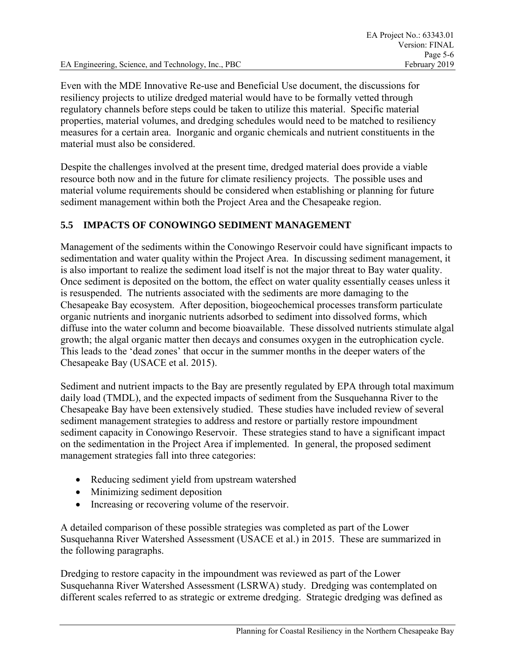Even with the MDE Innovative Re-use and Beneficial Use document, the discussions for resiliency projects to utilize dredged material would have to be formally vetted through regulatory channels before steps could be taken to utilize this material. Specific material properties, material volumes, and dredging schedules would need to be matched to resiliency measures for a certain area. Inorganic and organic chemicals and nutrient constituents in the material must also be considered.

Despite the challenges involved at the present time, dredged material does provide a viable resource both now and in the future for climate resiliency projects. The possible uses and material volume requirements should be considered when establishing or planning for future sediment management within both the Project Area and the Chesapeake region.

## **5.5 IMPACTS OF CONOWINGO SEDIMENT MANAGEMENT**

Management of the sediments within the Conowingo Reservoir could have significant impacts to sedimentation and water quality within the Project Area. In discussing sediment management, it is also important to realize the sediment load itself is not the major threat to Bay water quality. Once sediment is deposited on the bottom, the effect on water quality essentially ceases unless it is resuspended. The nutrients associated with the sediments are more damaging to the Chesapeake Bay ecosystem. After deposition, biogeochemical processes transform particulate organic nutrients and inorganic nutrients adsorbed to sediment into dissolved forms, which diffuse into the water column and become bioavailable. These dissolved nutrients stimulate algal growth; the algal organic matter then decays and consumes oxygen in the eutrophication cycle. This leads to the 'dead zones' that occur in the summer months in the deeper waters of the Chesapeake Bay (USACE et al. 2015).

Sediment and nutrient impacts to the Bay are presently regulated by EPA through total maximum daily load (TMDL), and the expected impacts of sediment from the Susquehanna River to the Chesapeake Bay have been extensively studied. These studies have included review of several sediment management strategies to address and restore or partially restore impoundment sediment capacity in Conowingo Reservoir. These strategies stand to have a significant impact on the sedimentation in the Project Area if implemented. In general, the proposed sediment management strategies fall into three categories:

- Reducing sediment yield from upstream watershed
- Minimizing sediment deposition
- Increasing or recovering volume of the reservoir.

A detailed comparison of these possible strategies was completed as part of the Lower Susquehanna River Watershed Assessment (USACE et al.) in 2015. These are summarized in the following paragraphs.

Dredging to restore capacity in the impoundment was reviewed as part of the Lower Susquehanna River Watershed Assessment (LSRWA) study. Dredging was contemplated on different scales referred to as strategic or extreme dredging. Strategic dredging was defined as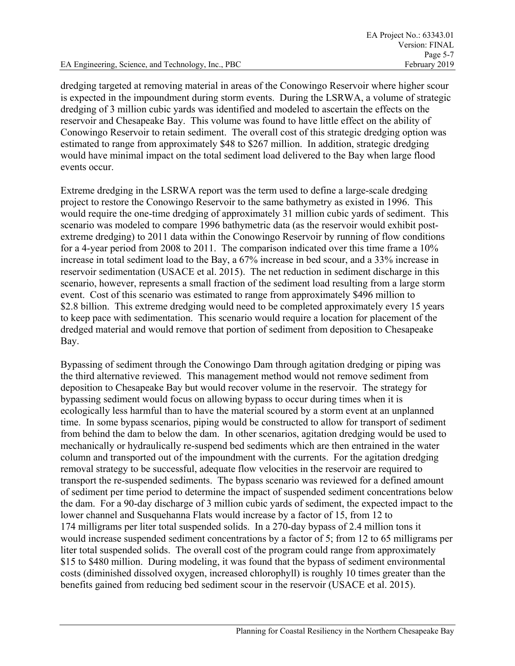dredging targeted at removing material in areas of the Conowingo Reservoir where higher scour is expected in the impoundment during storm events. During the LSRWA, a volume of strategic dredging of 3 million cubic yards was identified and modeled to ascertain the effects on the reservoir and Chesapeake Bay. This volume was found to have little effect on the ability of Conowingo Reservoir to retain sediment. The overall cost of this strategic dredging option was estimated to range from approximately \$48 to \$267 million. In addition, strategic dredging would have minimal impact on the total sediment load delivered to the Bay when large flood events occur.

Extreme dredging in the LSRWA report was the term used to define a large-scale dredging project to restore the Conowingo Reservoir to the same bathymetry as existed in 1996. This would require the one-time dredging of approximately 31 million cubic yards of sediment. This scenario was modeled to compare 1996 bathymetric data (as the reservoir would exhibit postextreme dredging) to 2011 data within the Conowingo Reservoir by running of flow conditions for a 4-year period from 2008 to 2011. The comparison indicated over this time frame a 10% increase in total sediment load to the Bay, a 67% increase in bed scour, and a 33% increase in reservoir sedimentation (USACE et al. 2015). The net reduction in sediment discharge in this scenario, however, represents a small fraction of the sediment load resulting from a large storm event. Cost of this scenario was estimated to range from approximately \$496 million to \$2.8 billion. This extreme dredging would need to be completed approximately every 15 years to keep pace with sedimentation. This scenario would require a location for placement of the dredged material and would remove that portion of sediment from deposition to Chesapeake Bay.

Bypassing of sediment through the Conowingo Dam through agitation dredging or piping was the third alternative reviewed. This management method would not remove sediment from deposition to Chesapeake Bay but would recover volume in the reservoir. The strategy for bypassing sediment would focus on allowing bypass to occur during times when it is ecologically less harmful than to have the material scoured by a storm event at an unplanned time. In some bypass scenarios, piping would be constructed to allow for transport of sediment from behind the dam to below the dam. In other scenarios, agitation dredging would be used to mechanically or hydraulically re-suspend bed sediments which are then entrained in the water column and transported out of the impoundment with the currents. For the agitation dredging removal strategy to be successful, adequate flow velocities in the reservoir are required to transport the re-suspended sediments. The bypass scenario was reviewed for a defined amount of sediment per time period to determine the impact of suspended sediment concentrations below the dam. For a 90-day discharge of 3 million cubic yards of sediment, the expected impact to the lower channel and Susquehanna Flats would increase by a factor of 15, from 12 to 174 milligrams per liter total suspended solids. In a 270-day bypass of 2.4 million tons it would increase suspended sediment concentrations by a factor of 5; from 12 to 65 milligrams per liter total suspended solids. The overall cost of the program could range from approximately \$15 to \$480 million. During modeling, it was found that the bypass of sediment environmental costs (diminished dissolved oxygen, increased chlorophyll) is roughly 10 times greater than the benefits gained from reducing bed sediment scour in the reservoir (USACE et al. 2015).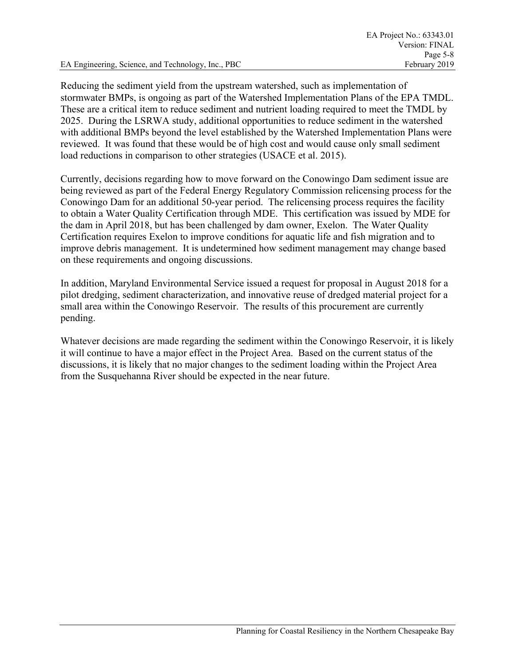Reducing the sediment yield from the upstream watershed, such as implementation of stormwater BMPs, is ongoing as part of the Watershed Implementation Plans of the EPA TMDL. These are a critical item to reduce sediment and nutrient loading required to meet the TMDL by 2025. During the LSRWA study, additional opportunities to reduce sediment in the watershed with additional BMPs beyond the level established by the Watershed Implementation Plans were reviewed. It was found that these would be of high cost and would cause only small sediment load reductions in comparison to other strategies (USACE et al. 2015).

Currently, decisions regarding how to move forward on the Conowingo Dam sediment issue are being reviewed as part of the Federal Energy Regulatory Commission relicensing process for the Conowingo Dam for an additional 50-year period. The relicensing process requires the facility to obtain a Water Quality Certification through MDE. This certification was issued by MDE for the dam in April 2018, but has been challenged by dam owner, Exelon. The Water Quality Certification requires Exelon to improve conditions for aquatic life and fish migration and to improve debris management. It is undetermined how sediment management may change based on these requirements and ongoing discussions.

In addition, Maryland Environmental Service issued a request for proposal in August 2018 for a pilot dredging, sediment characterization, and innovative reuse of dredged material project for a small area within the Conowingo Reservoir. The results of this procurement are currently pending.

Whatever decisions are made regarding the sediment within the Conowingo Reservoir, it is likely it will continue to have a major effect in the Project Area. Based on the current status of the discussions, it is likely that no major changes to the sediment loading within the Project Area from the Susquehanna River should be expected in the near future.